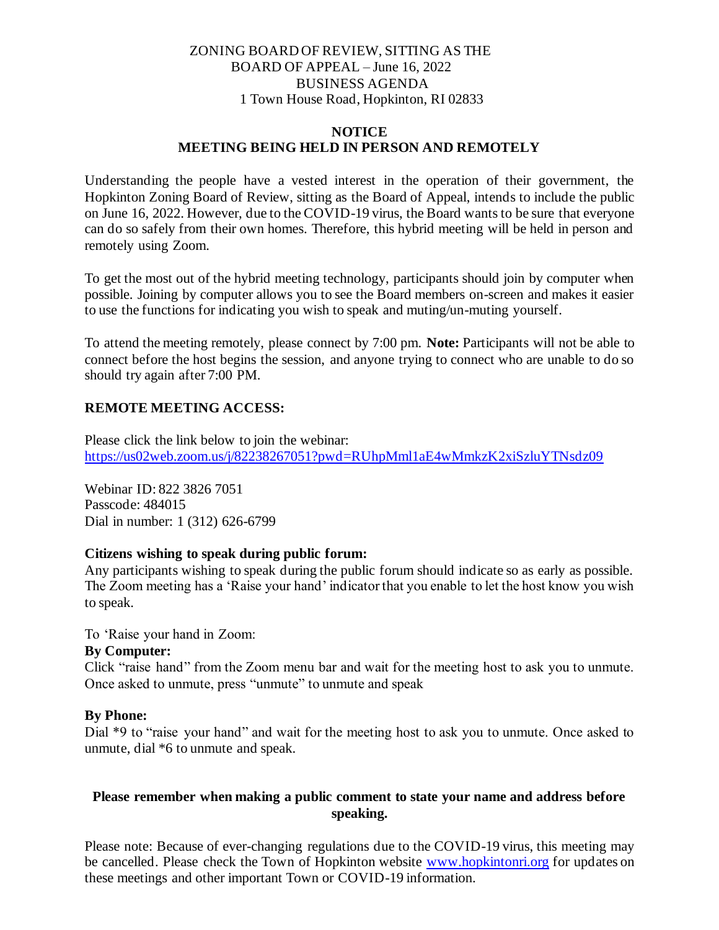# ZONING BOARD OF REVIEW, SITTING AS THE BOARD OF APPEAL – June 16, 2022 BUSINESS AGENDA 1 Town House Road, Hopkinton, RI 02833

### **NOTICE MEETING BEING HELD IN PERSON AND REMOTELY**

Understanding the people have a vested interest in the operation of their government, the Hopkinton Zoning Board of Review, sitting as the Board of Appeal, intends to include the public on June 16, 2022. However, due to the COVID-19 virus, the Board wants to be sure that everyone can do so safely from their own homes. Therefore, this hybrid meeting will be held in person and remotely using Zoom.

To get the most out of the hybrid meeting technology, participants should join by computer when possible. Joining by computer allows you to see the Board members on-screen and makes it easier to use the functions for indicating you wish to speak and muting/un-muting yourself.

To attend the meeting remotely, please connect by 7:00 pm. **Note:** Participants will not be able to connect before the host begins the session, and anyone trying to connect who are unable to do so should try again after 7:00 PM.

# **REMOTE MEETING ACCESS:**

Please click the link below to join the webinar: https://us02web.zoom.us/j/82238267051?pwd=RUhpMml1aE4wMmkzK2xiSzluYTNsdz09

Webinar ID: 822 3826 7051 Passcode: 484015 Dial in number: 1 (312) 626-6799

# **Citizens wishing to speak during public forum:**

Any participants wishing to speak during the public forum should indicate so as early as possible. The Zoom meeting has a 'Raise your hand' indicator that you enable to let the host know you wish to speak.

To 'Raise your hand in Zoom:

### **By Computer:**

Click "raise hand" from the Zoom menu bar and wait for the meeting host to ask you to unmute. Once asked to unmute, press "unmute" to unmute and speak

### **By Phone:**

Dial \*9 to "raise your hand" and wait for the meeting host to ask you to unmute. Once asked to unmute, dial \*6 to unmute and speak.

# **Please remember when making a public comment to state your name and address before speaking.**

Please note: Because of ever-changing regulations due to the COVID-19 virus, this meeting may be cancelled. Please check the Town of Hopkinton website www.hopkintonri.org for updates on these meetings and other important Town or COVID-19 information.